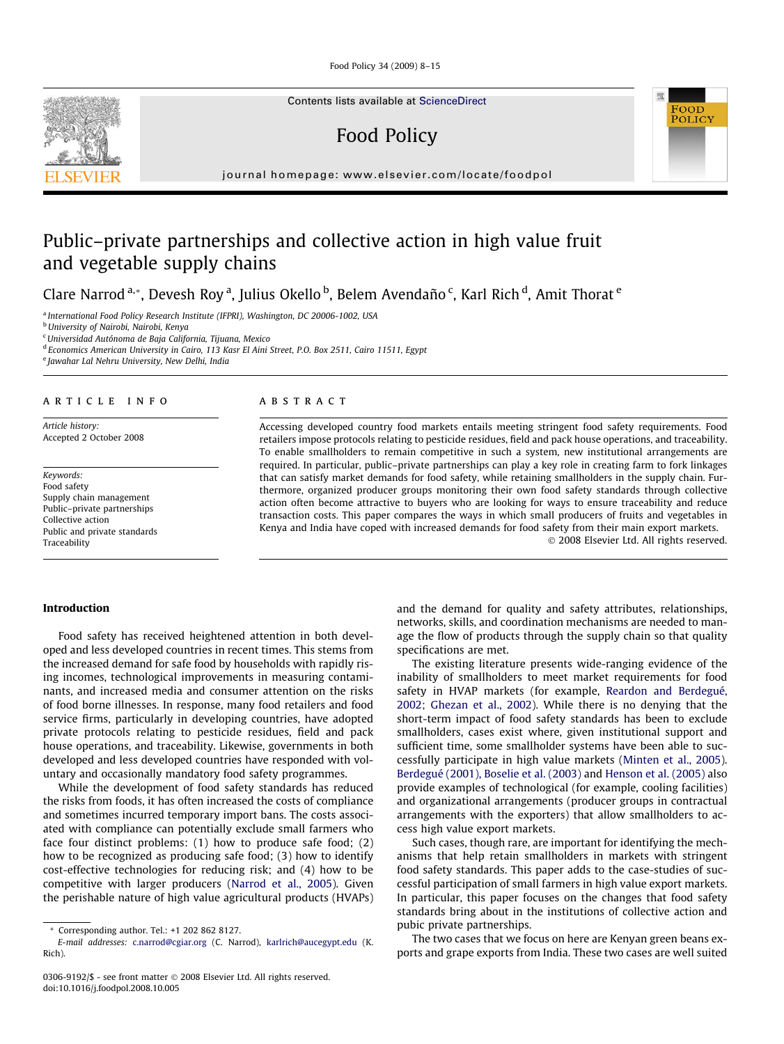Food Policy 34 (2009) 8–15

Contents lists available at [ScienceDirect](http://www.sciencedirect.com/science/journal/03069192)

# Food Policy

journal homepage: [www.elsevier.com/locate/foodpol](http://www.elsevier.com/locate/foodpol)

# Public–private partnerships and collective action in high value fruit and vegetable supply chains

Clare Narrod <sup>a,</sup>\*, Devesh Roy <sup>a</sup>, Julius Okello <sup>b</sup>, Belem Avendaño <sup>c</sup>, Karl Rich <sup>d</sup>, Amit Thorat <sup>e</sup>

<sup>a</sup> International Food Policy Research Institute (IFPRI), Washington, DC 20006-1002, USA

<sup>b</sup>University of Nairobi, Nairobi, Kenya

<sup>c</sup>Universidad Autónoma de Baja California, Tijuana, Mexico

<sup>d</sup> Economics American University in Cairo, 113 Kasr El Aini Street, P.O. Box 2511, Cairo 11511, Egypt

<sup>e</sup> Jawahar Lal Nehru University, New Delhi, India

## article info

Article history: Accepted 2 October 2008

Keywords: Food safety Supply chain management Public–private partnerships Collective action Public and private standards Traceability

#### **ABSTRACT**

Accessing developed country food markets entails meeting stringent food safety requirements. Food retailers impose protocols relating to pesticide residues, field and pack house operations, and traceability. To enable smallholders to remain competitive in such a system, new institutional arrangements are required. In particular, public–private partnerships can play a key role in creating farm to fork linkages that can satisfy market demands for food safety, while retaining smallholders in the supply chain. Furthermore, organized producer groups monitoring their own food safety standards through collective action often become attractive to buyers who are looking for ways to ensure traceability and reduce transaction costs. This paper compares the ways in which small producers of fruits and vegetables in Kenya and India have coped with increased demands for food safety from their main export markets.

- 2008 Elsevier Ltd. All rights reserved.

POLICY

### Introduction

Food safety has received heightened attention in both developed and less developed countries in recent times. This stems from the increased demand for safe food by households with rapidly rising incomes, technological improvements in measuring contaminants, and increased media and consumer attention on the risks of food borne illnesses. In response, many food retailers and food service firms, particularly in developing countries, have adopted private protocols relating to pesticide residues, field and pack house operations, and traceability. Likewise, governments in both developed and less developed countries have responded with voluntary and occasionally mandatory food safety programmes.

While the development of food safety standards has reduced the risks from foods, it has often increased the costs of compliance and sometimes incurred temporary import bans. The costs associated with compliance can potentially exclude small farmers who face four distinct problems: (1) how to produce safe food; (2) how to be recognized as producing safe food; (3) how to identify cost-effective technologies for reducing risk; and (4) how to be competitive with larger producers ([Narrod et al., 2005](#page--1-0)). Given the perishable nature of high value agricultural products (HVAPs) and the demand for quality and safety attributes, relationships, networks, skills, and coordination mechanisms are needed to manage the flow of products through the supply chain so that quality specifications are met.

The existing literature presents wide-ranging evidence of the inability of smallholders to meet market requirements for food safety in HVAP markets (for example, [Reardon and Berdegué,](#page--1-0) [2002; Ghezan et al., 2002](#page--1-0)). While there is no denying that the short-term impact of food safety standards has been to exclude smallholders, cases exist where, given institutional support and sufficient time, some smallholder systems have been able to successfully participate in high value markets ([Minten et al., 2005\)](#page--1-0). [Berdegué \(2001\), Boselie et al. \(2003\)](#page--1-0) and [Henson et al. \(2005\)](#page--1-0) also provide examples of technological (for example, cooling facilities) and organizational arrangements (producer groups in contractual arrangements with the exporters) that allow smallholders to access high value export markets.

Such cases, though rare, are important for identifying the mechanisms that help retain smallholders in markets with stringent food safety standards. This paper adds to the case-studies of successful participation of small farmers in high value export markets. In particular, this paper focuses on the changes that food safety standards bring about in the institutions of collective action and pubic private partnerships.

The two cases that we focus on here are Kenyan green beans exports and grape exports from India. These two cases are well suited



<sup>\*</sup> Corresponding author. Tel.: +1 202 862 8127.

E-mail addresses: [c.narrod@cgiar.org](mailto:c.narrod@cgiar.org) (C. Narrod), [karlrich@aucegypt.edu](mailto:karlrich@aucegypt.edu) (K. Rich).

<sup>0306-9192/\$ -</sup> see front matter © 2008 Elsevier Ltd. All rights reserved. doi:10.1016/j.foodpol.2008.10.005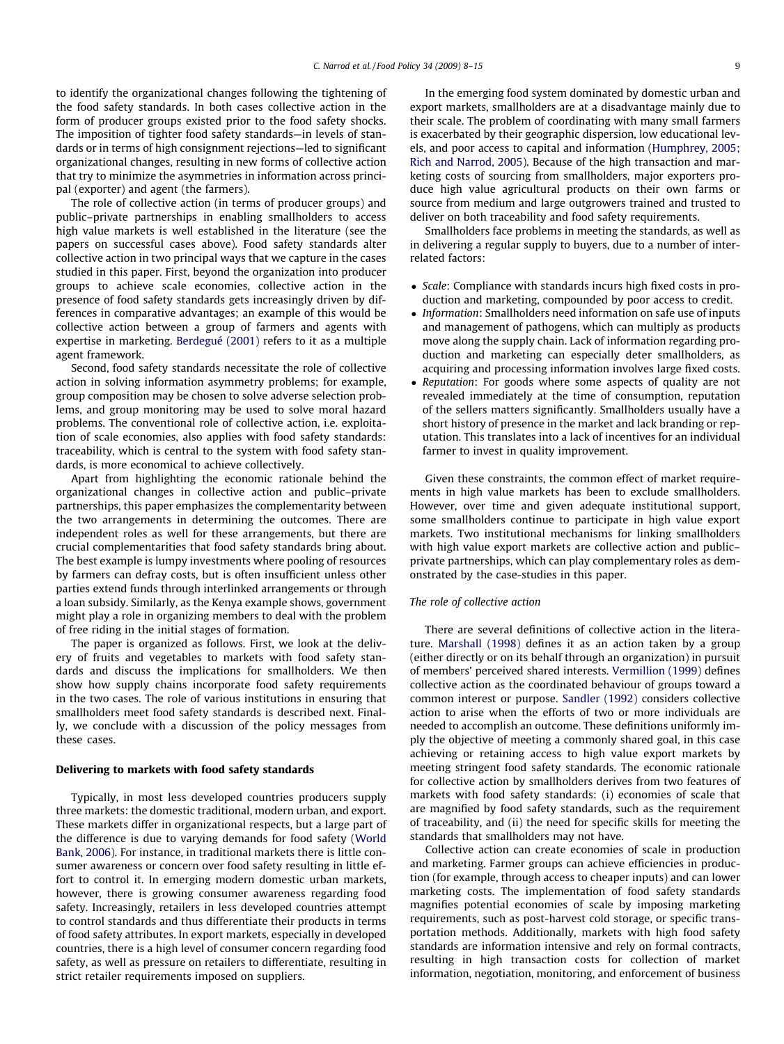to identify the organizational changes following the tightening of the food safety standards. In both cases collective action in the form of producer groups existed prior to the food safety shocks. The imposition of tighter food safety standards—in levels of standards or in terms of high consignment rejections—led to significant organizational changes, resulting in new forms of collective action that try to minimize the asymmetries in information across principal (exporter) and agent (the farmers).

The role of collective action (in terms of producer groups) and public–private partnerships in enabling smallholders to access high value markets is well established in the literature (see the papers on successful cases above). Food safety standards alter collective action in two principal ways that we capture in the cases studied in this paper. First, beyond the organization into producer groups to achieve scale economies, collective action in the presence of food safety standards gets increasingly driven by differences in comparative advantages; an example of this would be collective action between a group of farmers and agents with expertise in marketing. [Berdegué \(2001\)](#page--1-0) refers to it as a multiple agent framework.

Second, food safety standards necessitate the role of collective action in solving information asymmetry problems; for example, group composition may be chosen to solve adverse selection problems, and group monitoring may be used to solve moral hazard problems. The conventional role of collective action, i.e. exploitation of scale economies, also applies with food safety standards: traceability, which is central to the system with food safety standards, is more economical to achieve collectively.

Apart from highlighting the economic rationale behind the organizational changes in collective action and public–private partnerships, this paper emphasizes the complementarity between the two arrangements in determining the outcomes. There are independent roles as well for these arrangements, but there are crucial complementarities that food safety standards bring about. The best example is lumpy investments where pooling of resources by farmers can defray costs, but is often insufficient unless other parties extend funds through interlinked arrangements or through a loan subsidy. Similarly, as the Kenya example shows, government might play a role in organizing members to deal with the problem of free riding in the initial stages of formation.

The paper is organized as follows. First, we look at the delivery of fruits and vegetables to markets with food safety standards and discuss the implications for smallholders. We then show how supply chains incorporate food safety requirements in the two cases. The role of various institutions in ensuring that smallholders meet food safety standards is described next. Finally, we conclude with a discussion of the policy messages from these cases.

#### Delivering to markets with food safety standards

Typically, in most less developed countries producers supply three markets: the domestic traditional, modern urban, and export. These markets differ in organizational respects, but a large part of the difference is due to varying demands for food safety ([World](#page--1-0) [Bank, 2006](#page--1-0)). For instance, in traditional markets there is little consumer awareness or concern over food safety resulting in little effort to control it. In emerging modern domestic urban markets, however, there is growing consumer awareness regarding food safety. Increasingly, retailers in less developed countries attempt to control standards and thus differentiate their products in terms of food safety attributes. In export markets, especially in developed countries, there is a high level of consumer concern regarding food safety, as well as pressure on retailers to differentiate, resulting in strict retailer requirements imposed on suppliers.

In the emerging food system dominated by domestic urban and export markets, smallholders are at a disadvantage mainly due to their scale. The problem of coordinating with many small farmers is exacerbated by their geographic dispersion, low educational levels, and poor access to capital and information ([Humphrey, 2005;](#page--1-0) [Rich and Narrod, 2005](#page--1-0)). Because of the high transaction and marketing costs of sourcing from smallholders, major exporters produce high value agricultural products on their own farms or source from medium and large outgrowers trained and trusted to deliver on both traceability and food safety requirements.

Smallholders face problems in meeting the standards, as well as in delivering a regular supply to buyers, due to a number of interrelated factors:

- Scale: Compliance with standards incurs high fixed costs in production and marketing, compounded by poor access to credit.
- Information: Smallholders need information on safe use of inputs and management of pathogens, which can multiply as products move along the supply chain. Lack of information regarding production and marketing can especially deter smallholders, as acquiring and processing information involves large fixed costs.
- Reputation: For goods where some aspects of quality are not revealed immediately at the time of consumption, reputation of the sellers matters significantly. Smallholders usually have a short history of presence in the market and lack branding or reputation. This translates into a lack of incentives for an individual farmer to invest in quality improvement.

Given these constraints, the common effect of market requirements in high value markets has been to exclude smallholders. However, over time and given adequate institutional support, some smallholders continue to participate in high value export markets. Two institutional mechanisms for linking smallholders with high value export markets are collective action and public– private partnerships, which can play complementary roles as demonstrated by the case-studies in this paper.

### The role of collective action

There are several definitions of collective action in the literature. [Marshall \(1998\)](#page--1-0) defines it as an action taken by a group (either directly or on its behalf through an organization) in pursuit of members' perceived shared interests. [Vermillion \(1999\)](#page--1-0) defines collective action as the coordinated behaviour of groups toward a common interest or purpose. [Sandler \(1992\)](#page--1-0) considers collective action to arise when the efforts of two or more individuals are needed to accomplish an outcome. These definitions uniformly imply the objective of meeting a commonly shared goal, in this case achieving or retaining access to high value export markets by meeting stringent food safety standards. The economic rationale for collective action by smallholders derives from two features of markets with food safety standards: (i) economies of scale that are magnified by food safety standards, such as the requirement of traceability, and (ii) the need for specific skills for meeting the standards that smallholders may not have.

Collective action can create economies of scale in production and marketing. Farmer groups can achieve efficiencies in production (for example, through access to cheaper inputs) and can lower marketing costs. The implementation of food safety standards magnifies potential economies of scale by imposing marketing requirements, such as post-harvest cold storage, or specific transportation methods. Additionally, markets with high food safety standards are information intensive and rely on formal contracts, resulting in high transaction costs for collection of market information, negotiation, monitoring, and enforcement of business